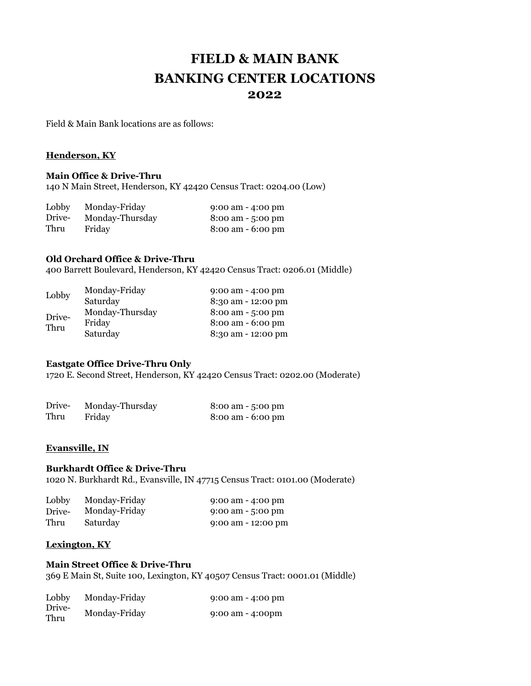# **FIELD & MAIN BANK BANKING CENTER LOCATIONS 2022**

Field & Main Bank locations are as follows:

### **Henderson, KY**

## **Main Office & Drive-Thru**

140 N Main Street, Henderson, KY 42420 Census Tract: 0204.00 (Low)

| Lobby  | Monday-Friday   | $9:00$ am $-4:00$ pm                |
|--------|-----------------|-------------------------------------|
| Drive- | Monday-Thursday | $8:00 \text{ am} - 5:00 \text{ pm}$ |
| Thru   | Friday          | $8:00 \text{ am} - 6:00 \text{ pm}$ |

## **Old Orchard Office & Drive-Thru**

400 Barrett Boulevard, Henderson, KY 42420 Census Tract: 0206.01 (Middle)

| Lobby          | Monday-Friday   | $9:00$ am $-4:00$ pm |
|----------------|-----------------|----------------------|
|                | Saturday        | 8:30 am - 12:00 pm   |
| Drive-<br>Thru | Monday-Thursday | 8:00 am - 5:00 pm    |
|                | Friday          | $8:00$ am $-6:00$ pm |
|                | Saturday        | 8:30 am - 12:00 pm   |

#### **Eastgate Office Drive-Thru Only**

1720 E. Second Street, Henderson, KY 42420 Census Tract: 0202.00 (Moderate)

| Drive- | Monday-Thursday | 8:00 am - 5:00 pm                   |
|--------|-----------------|-------------------------------------|
| Thru   | Friday          | $8:00 \text{ am} - 6:00 \text{ pm}$ |

#### **Evansville, IN**

#### **Burkhardt Office & Drive-Thru**

1020 N. Burkhardt Rd., Evansville, IN 47715 Census Tract: 0101.00 (Moderate)

| Lobby  | Monday-Friday | $9:00$ am $-4:00$ pm       |
|--------|---------------|----------------------------|
| Drive- | Monday-Friday | 9:00 am $-5:00 \text{ pm}$ |
| Thru   | Saturday      | $9:00$ am $-12:00$ pm      |

#### **Lexington, KY**

## **Main Street Office & Drive-Thru**

369 E Main St, Suite 100, Lexington, KY 40507 Census Tract: 0001.01 (Middle)

| Lobby<br>Drive-<br>Thru | Monday-Friday | $9:00$ am $-4:00$ pm |
|-------------------------|---------------|----------------------|
|                         | Monday-Friday | $9:00$ am $-4:00$ pm |